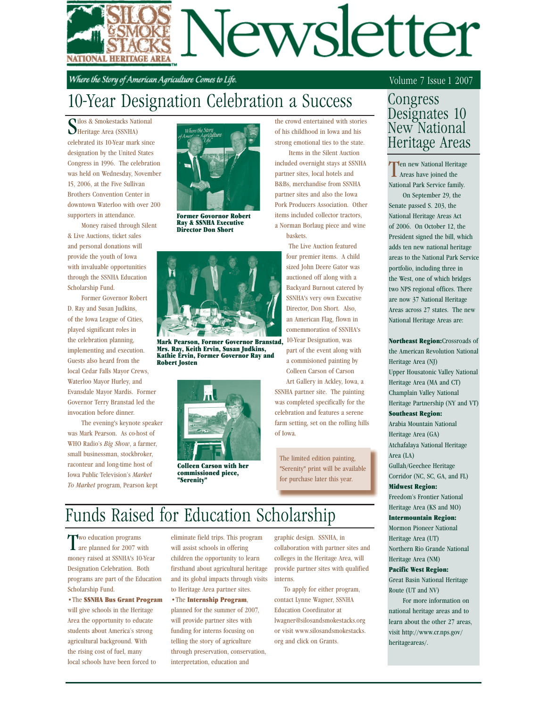# Jewsletter NATIONAL HERITAGE AREA

Where the Story of American Agriculture Comes to Life.

# 10-Year Designation Celebration a Success

Silos & Smokestacks National Sheritage Area (SSNHA) **vilos & Smokestacks National** celebrated its 10-Year mark since designation by the United States Congress in 1996. The celebration was held on Wednesday, November 15, 2006, at the Five Sullivan Brothers Convention Center in downtown Waterloo with over 200 supporters in attendance.

 Money raised through Silent & Live Auctions, ticket sales and personal donations will provide the youth of Iowa with invaluable opportunities through the SSNHA Education Scholarship Fund.

 Former Governor Robert D. Ray and Susan Judkins, of the Iowa League of Cities, played significant roles in the celebration planning, implementing and execution. Guests also heard from the local Cedar Falls Mayor Crews, Waterloo Mayor Hurley, and Evansdale Mayor Mardis. Former Governor Terry Branstad led the invocation before dinner.

 The evening's keynote speaker was Mark Pearson. As co-host of WHO Radio's *Big Show*, a farmer, small businessman, stockbroker, raconteur and long-time host of Iowa Public Television's *Market To Market* program, Pearson kept



Former Govornor Robert Ray & SSNHA Executive Director Don Short



Mark Pearson, Former Governor Branstad, Mrs. Ray, Keith Ervin, Susan Judkins, Kathie Ervin, Former Governor Ray and Robert Josten



Colleen Carson with her commissioned piece, "Serenity"

the crowd entertained with stories of his childhood in Iowa and his strong emotional ties to the state.

 Items in the Silent Auction included overnight stays at SSNHA partner sites, local hotels and B&Bs, merchandise from SSNHA partner sites and also the Iowa Pork Producers Association. Other items included collector tractors, a Norman Borlaug piece and wine baskets.

> The Live Auction featured four premier items. A child sized John Deere Gator was auctioned off along with a Backyard Burnout catered by SSNHA's very own Executive Director, Don Short. Also, an American Flag, flown in comemmoration of SSNHA's 10-Year Designation, was part of the event along with a commisioned painting by Colleen Carson of Carson Art Gallery in Ackley, Iowa, a

SSNHA partner site. The painting was completed specifically for the celebration and features a serene farm setting, set on the rolling hills of Iowa.

The limited edition painting, "Serenity" print will be available for purchase later this year.

# Funds Raised for Education Scholarship

Two education programs are planned for 2007 with money raised at SSNHA's 10-Year Designation Celebration. Both programs are part of the Education Scholarship Fund.

•The SSNHA Bus Grant Program will give schools in the Heritage Area the opportunity to educate students about America's strong agricultural background. With the rising cost of fuel, many local schools have been forced to

eliminate field trips. This program will assist schools in offering children the opportunity to learn firsthand about agricultural heritage and its global impacts through visits to Heritage Area partner sites.

•The Internship Program, planned for the summer of 2007, will provide partner sites with funding for interns focusing on telling the story of agriculture through preservation, conservation, interpretation, education and

graphic design. SSNHA, in collaboration with partner sites and colleges in the Heritage Area, will provide partner sites with qualified interns.

 To apply for either program, contact Lynne Wagner, SSNHA Education Coordinator at lwagner@silosandsmokestacks.org or visit www.silosandsmokestacks. org and click on Grants.

### Volume 7 Issue 1 2007

## Congress Designates 10 New National Heritage Areas

Ten new National Heritage Areas have joined the National Park Service family.

 On September 29, the Senate passed S. 203, the National Heritage Areas Act of 2006. On October 12, the President signed the bill, which adds ten new national heritage areas to the National Park Service portfolio, including three in the West, one of which bridges two NPS regional offices. There are now 37 National Heritage Areas across 27 states. The new National Heritage Areas are:

Northeast Region:Crossroads of the American Revolution National Heritage Area (NJ) Upper Housatonic Valley National Heritage Area (MA and CT) Champlain Valley National Heritage Partnership (NY and VT) Southeast Region:

Arabia Mountain National Heritage Area (GA) Atchafalaya National Heritage Area (LA)

Gullah/Geechee Heritage Corridor (NC, SC, GA, and FL)

### Midwest Region:

Freedom's Frontier National Heritage Area (KS and MO)

### Intermountain Region:

Mormon Pioneer National Heritage Area (UT) Northern Rio Grande National Heritage Area (NM)

### Pacific West Region:

Great Basin National Heritage Route (UT and NV)

 For more information on national heritage areas and to learn about the other 27 areas, visit http://www.cr.nps.gov/ heritageareas/.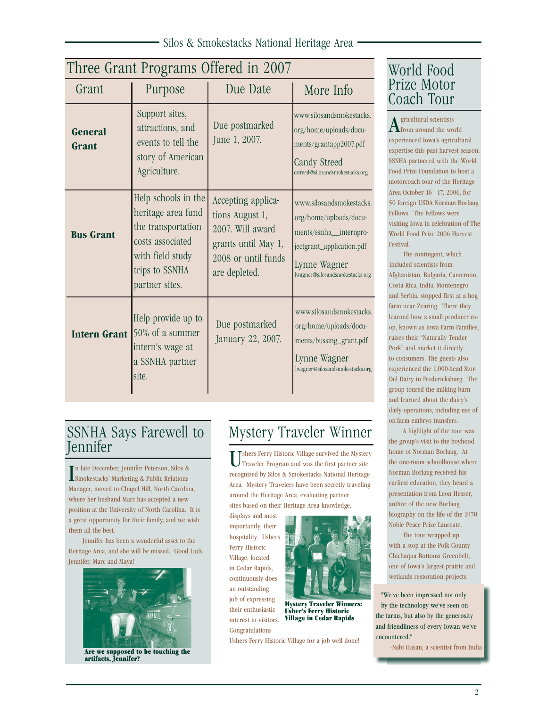| Silos & Smokestacks National Heritage Area |  |
|--------------------------------------------|--|
|--------------------------------------------|--|

| Three Grant Programs Offered in 2007 |                                                                                                                                             |                                                                                                                          |                                                                                                                                                              |  |
|--------------------------------------|---------------------------------------------------------------------------------------------------------------------------------------------|--------------------------------------------------------------------------------------------------------------------------|--------------------------------------------------------------------------------------------------------------------------------------------------------------|--|
| Grant                                | Purpose                                                                                                                                     | Due Date                                                                                                                 | More Info                                                                                                                                                    |  |
| General<br>Grant                     | Support sites,<br>attractions, and<br>events to tell the<br>story of American<br>Agriculture.                                               | Due postmarked<br>June 1, 2007.                                                                                          | www.silosandsmokestacks.<br>org/home/uploads/docu-<br>ments/grantapp2007.pdf<br>Candy Streed<br>cstreed@silosandsmokestacks.org                              |  |
| <b>Bus Grant</b>                     | Help schools in the<br>heritage area fund<br>the transportation<br>costs associated<br>with field study<br>trips to SSNHA<br>partner sites. | Accepting applica-<br>tions August 1,<br>2007. Will award<br>grants until May 1,<br>2008 or until funds<br>are depleted. | www.silosandsmokestacks.<br>org/home/uploads/docu-<br>ments/ssnha_internpro-<br>jectgrant_application.pdf<br>Lynne Wagner<br>lwagner@silosandsmokestacks.org |  |
| <b>Intern Grant</b>                  | Help provide up to<br>50% of a summer<br>intern's wage at<br>a SSNHA partner<br>site.                                                       | Due postmarked<br>January 22, 2007.                                                                                      | www.silosandsmokestacks.<br>org/home/uploads/docu-<br>ments/bussing_grant.pdf<br>Lynne Wagner<br>lwagner@silosandsmokestacks.org                             |  |

## World Food Prize Motor Coach Tour

 $A$ gricultural scientists<br> $A$ from around the world experienced Iowa's agricultural expertise this past harvest season. SSNHA partnered with the World Food Prize Foundation to host a motorcoach tour of the Heritage Area October 16 - 17, 2006, for 50 foreign USDA Norman Borlaug Fellows. The Fellows were visiting Iowa in celebration of The World Food Prize 2006 Harvest Festival.

 The contingent, which included scientists from Afghanistan, Bulgaria, Cameroon, Costa Rica, India, Montenegro and Serbia, stopped first at a hog farm near Zearing. There they learned how a small producer coop, known as Iowa Farm Families, raises their "Naturally Tender Pork" and market it directly to consumers. The guests also experienced the 1,000-head Stor-Del Dairy in Fredericksburg. The group toured the milking barn and learned about the dairy's daily operations, including use of on-farm embryo transfers.

 A highlight of the tour was the group's visit to the boyhood home of Norman Borlaug. At the one-room schoolhouse where Norman Borlaug received his earliest education, they heard a presentation from Leon Hesser, author of the new Borlaug biography on the life of the 1970 Noble Peace Prize Laureate.

 The tour wrapped up with a stop at the Polk County Chichaqua Bottoms Greenbelt, one of Iowa's largest prairie and wetlands restoration projects.

"We've been impressed not only by the technology we've seen on the farms, but also by the generosity and friendliness of every Iowan we've encountered."

-Nabi Hasan, a scientist from India

# SSNHA Says Farewell to

 $\prod$ n late December, Jennifer Peterson, Silos & Smokestacks' Marketing & Public Relations Smokestacks' Marketing & Public Relations Manager, moved to Chapel Hill, North Carolina, where her husband Marc has accepted a new position at the University of North Carolina. It is a great opportunity for their family, and we wish them all the best.

 Jennifer has been a wonderful asset to the Heritage Area, and she will be missed. Good Luck Jennifer, Marc and Maya!



Are we supposed to be touching the artifacts, Jennifer?

# Mystery Traveler Winner

Tshers Ferry Historic Village survived the Mystery Traveler Program and was the first partner site recognized by Silos & Smokestacks National Heritage Area. Mystery Travelers have been secretly traveling around the Heritage Area, evaluating partner sites based on their Heritage Area knowledge,

displays and most importantly, their hospitality. Ushers Ferry Historic Village, located in Cedar Rapids, continuously does an outstanding job of expressing their enthusiastic interest in visitors. Congratulations

Ushers Ferry Historic Village for a job well done!

Mystery Traveler Winners: Usher's Ferry Historic Village in Cedar Rapids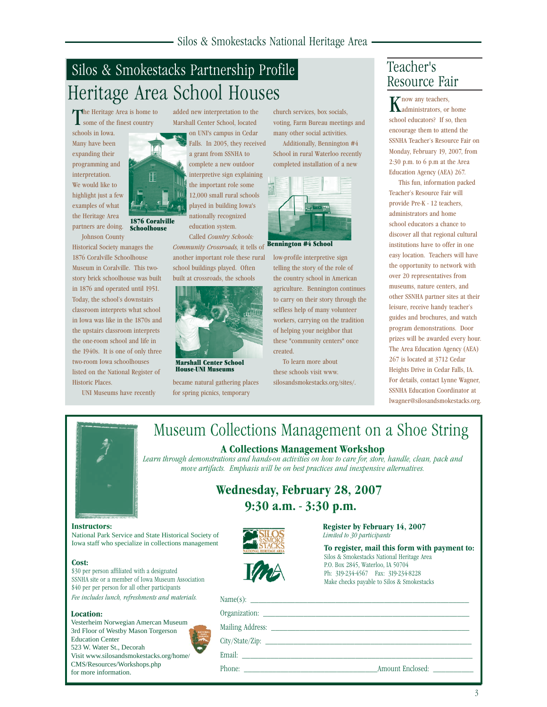# Silos & Smokestacks Partnership Profile Heritage Area School Houses

The Heritage Area is home to **L** some of the finest country

schools in Iowa. Many have been expanding their programming and interpretation. We would like to highlight just a few examples of what the Heritage Area partners are doing. Johnson County

Historical Society manages the 1876 Coralville Schoolhouse Museum in Coralville. This twostory brick schoolhouse was built in 1876 and operated until 1951. Today, the school's downstairs classroom interprets what school in Iowa was like in the 1870s and the upstairs classroom interprets the one-room school and life in the 1940s. It is one of only three two-room Iowa schoolhouses listed on the National Register of Historic Places.

UNI Museums have recently

1876 Coralville Schoolhouse

added new interpretation to the Marshall Center School, located

on UNI's campus in Cedar Falls. In 2005, they received a grant from SSNHA to complete a new outdoor interpretive sign explaining the important role some 12,000 small rural schools played in building Iowa's nationally recognized education system. Called *Country Schools:* 

*Community Crossroads,* it tells of another important role these rural school buildings played. Often built at crossroads, the schools



Marshall Center School House-UNI Museums

became natural gathering places for spring picnics, temporary

church services, box socials, voting, Farm Bureau meetings and many other social activities. Additionally, Bennington #4

School in rural Waterloo recently completed installation of a new



Bennington #4 School

low-profile interpretive sign telling the story of the role of the country school in American agriculture. Bennington continues to carry on their story through the selfless help of many volunteer workers, carrying on the tradition of helping your neighbor that these "community centers" once created.

 To learn more about these schools visit www. silosandsmokestacks.org/sites/.

# Teacher's

now any teachers, administrators, or home school educators? If so, then encourage them to attend the SSNHA Teacher's Resource Fair on Monday, February 19, 2007, from 2:30 p.m. to 6 p.m at the Area Education Agency (AEA) 267.

 This fun, information packed Teacher's Resource Fair will provide Pre-K - 12 teachers, administrators and home school educators a chance to discover all that regional cultural institutions have to offer in one easy location. Teachers will have the opportunity to network with over 20 representatives from museums, nature centers, and other SSNHA partner sites at their leisure, receive handy teacher's guides and brochures, and watch program demonstrations. Door prizes will be awarded every hour. The Area Education Agency (AEA) 267 is located at 3712 Cedar Heights Drive in Cedar Falls, IA. For details, contact Lynne Wagner, SSNHA Education Coordinator at lwagner@silosandsmokestacks.org.



# Museum Collections Management on a Shoe String

**A Collections Management Workshop**

*Learn through demonstrations and hands-on activities on how to care for, store, handle, clean, pack and move artifacts. Emphasis will be on best practices and inexpensive alternatives.*

| <b>Wednesday, February 28, 2007</b> |                          |  |
|-------------------------------------|--------------------------|--|
|                                     | $9:30$ a.m. $-3:30$ p.m. |  |

### **Instructors:**

National Park Service and State Historical Society of Iowa staff who specialize in collections management

### **Cost:**

\$30 per person affiliated with a designated SSNHA site or a member of Iowa Museum Association \$40 per per person for all other participants *Fee includes lunch, refreshments and materials.* 

### **Location:**

Vesterheim Norwegian Amercan Museum 3rd Floor of Westby Mason Torgerson Education Center 523 W. Water St., Decorah Visit www.silosandsmokestacks.org/home/ CMS/Resources/Workshops.php for more information.



**Register by February 14, 2007** *Limited to 30 participants*

**To register, mail this form with payment to:** Silos & Smokestacks National Heritage Area P.O. Box 2845, Waterloo, IA 50704 Ph: 319-234-4567 Fax: 319-234-8228 Make checks payable to Silos & Smokestacks

| Phone: | Amount Enclosed: |
|--------|------------------|